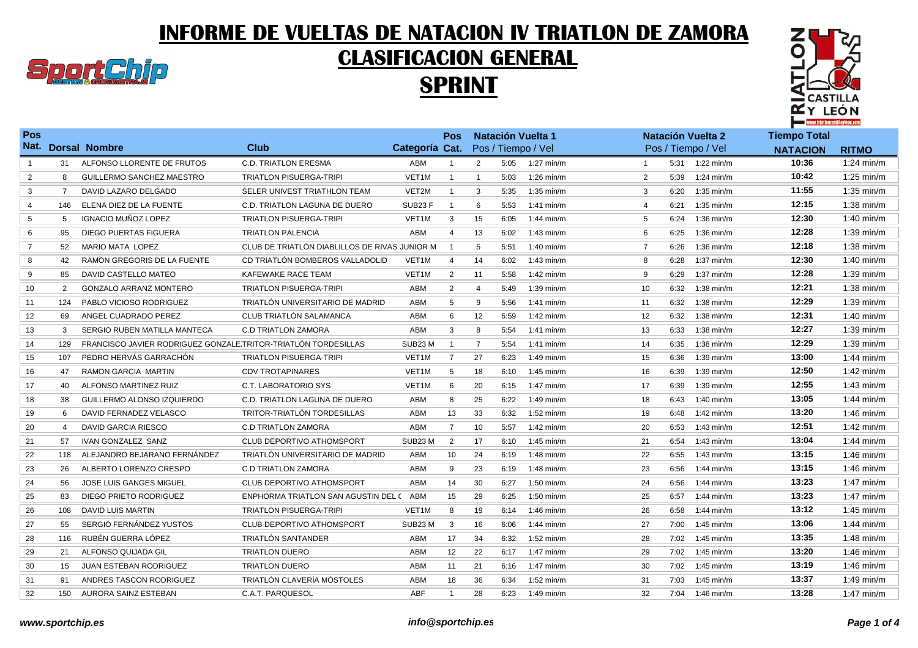## INFORME DE VUELTAS DE NATACION IV TRIATLON DE ZAMORA



## CLASIFICACION GENERAL





| Pos            |     |                                                                |                                               |                | <b>Pos</b>     |                |      | <b>Natación Vuelta 1</b> |                |      | <b>Natación Vuelta 2</b> | <b>Tiempo Total</b> |                      |
|----------------|-----|----------------------------------------------------------------|-----------------------------------------------|----------------|----------------|----------------|------|--------------------------|----------------|------|--------------------------|---------------------|----------------------|
|                |     | Nat. Dorsal Nombre                                             | <b>Club</b>                                   | Categoría Cat. |                |                |      | Pos / Tiempo / Vel       |                |      | Pos / Tiempo / Vel       | <b>NATACION</b>     | <b>RITMO</b>         |
| $\mathbf{1}$   | 31  | ALFONSO LLORENTE DE FRUTOS                                     | <b>C.D. TRIATLON ERESMA</b>                   | <b>ABM</b>     | $\overline{1}$ | $\overline{2}$ | 5:05 | $1:27$ min/m             |                |      | 5:31 1:22 min/m          | 10:36               | $1:24$ min/m         |
| $\overline{2}$ | 8   | GUILLERMO SANCHEZ MAESTRO                                      | <b>TRIATLON PISUERGA-TRIPI</b>                | VET1M          | $\overline{1}$ | $\mathbf{1}$   | 5:03 | $1:26$ min/m             | 2              | 5:39 | $1:24$ min/m             | 10:42               | $1:25$ min/m         |
| 3              | 7   | DAVID LAZARO DELGADO                                           | SELER UNIVEST TRIATHLON TEAM                  | VET2M          | $\overline{1}$ | 3              | 5:35 | $1:35$ min/m             | 3              | 6:20 | $1:35$ min/m             | 11:55               | $1:35$ min/m         |
| $\overline{4}$ | 146 | ELENA DIEZ DE LA FUENTE                                        | C.D. TRIATLON LAGUNA DE DUERO                 | SUB23F         | $\overline{1}$ | 6              | 5:53 | 1:41 $min/m$             | $\overline{4}$ | 6:21 | $1:35$ min/m             | 12:15               | $1:38$ min/m         |
| 5              | 5   | <b>IGNACIO MUÑOZ LOPEZ</b>                                     | <b>TRIATLON PISUERGA-TRIPI</b>                | VET1M          | 3              | 15             | 6:05 | $1:44$ min/m             | 5              | 6:24 | $1:36$ min/m             | 12:30               | $1:40$ min/m         |
| 6              | 95  | <b>DIEGO PUERTAS FIGUERA</b>                                   | <b>TRIATLON PALENCIA</b>                      | ABM            | 4              | 13             | 6:02 | $1:43$ min/m             | 6              | 6:25 | $1:36$ min/m             | 12:28               | $1:39$ min/m         |
| 7              | 52  | <b>MARIO MATA LOPEZ</b>                                        | CLUB DE TRIATLÓN DIABLILLOS DE RIVAS JUNIOR M |                | $\overline{1}$ | 5              | 5:51 | 1:40 min/m               | $\overline{7}$ | 6:26 | $1:36$ min/m             | 12:18               | $1:38$ min/m         |
| 8              | 42  | RAMON GREGORIS DE LA FUENTE                                    | CD TRIATLÓN BOMBEROS VALLADOLID               | VET1M          | $\overline{4}$ | 14             | 6:02 | $1:43$ min/m             | 8              | 6:28 | $1:37$ min/m             | 12:30               | $1:40$ min/m         |
| 9              | 85  | DAVID CASTELLO MATEO                                           | <b>KAFEWAKE RACE TEAM</b>                     | VET1M          | 2              | 11             | 5:58 | $1:42$ min/m             | 9              | 6:29 | $1:37$ min/m             | 12:28               | $1:39$ min/m         |
| 10             | 2   | <b>GONZALO ARRANZ MONTERO</b>                                  | <b>TRIATLON PISUERGA-TRIPI</b>                | ABM            | $\overline{2}$ | $\overline{4}$ | 5:49 | $1:39$ min/m             | 10             | 6:32 | $1:38$ min/m             | 12:21               | $1:38$ min/m         |
| 11             | 124 | PABLO VICIOSO RODRIGUEZ                                        | TRIATLÓN UNIVERSITARIO DE MADRID              | ABM            | 5              | 9              | 5:56 | $1:41$ min/m             | 11             | 6:32 | $1:38$ min/m             | 12:29               | $1:39$ min/m         |
| 12             | 69  | ANGEL CUADRADO PEREZ                                           | CLUB TRIATLÓN SALAMANCA                       | <b>ABM</b>     | 6              | 12             | 5:59 | $1:42$ min/m             | 12             | 6:32 | $1:38$ min/m             | 12:31               | $1:40$ min/m         |
| 13             | 3   | SERGIO RUBEN MATILLA MANTECA                                   | <b>C.D TRIATLON ZAMORA</b>                    | <b>ABM</b>     | 3              | 8              | 5:54 | 1:41 $min/m$             | 13             | 6:33 | $1:38$ min/m             | 12:27               | $1:39$ min/m         |
| 14             | 129 | FRANCISCO JAVIER RODRIGUEZ GONZALE TRITOR-TRIATLÓN TORDESILLAS |                                               | SUB23 M        | $\overline{1}$ | $\overline{7}$ | 5:54 | 1:41 $min/m$             | 14             | 6:35 | $1:38$ min/m             | 12:29               | $1:39$ min/m         |
| 15             | 107 | PEDRO HERVÁS GARRACHÓN                                         | <b>TRIATLON PISUERGA-TRIPI</b>                | VET1M          | $\overline{7}$ | 27             | 6:23 | $1:49$ min/m             | 15             | 6:36 | $1:39$ min/m             | 13:00               | $1:44$ min/m         |
| 16             | 47  | <b>RAMON GARCIA MARTIN</b>                                     | <b>CDV TROTAPINARES</b>                       | VET1M          | 5              | 18             | 6:10 | $1:45$ min/m             | 16             | 6:39 | $1:39$ min/m             | 12:50               | $1:42$ min/m         |
| 17             | 40  | ALFONSO MARTINEZ RUIZ                                          | <b>C.T. LABORATORIO SYS</b>                   | VET1M          | 6              | 20             | 6:15 | $1:47$ min/m             | 17             | 6:39 | $1:39$ min/m             | 12:55               | $1:43$ min/m         |
| 18             | 38  | GUILLERMO ALONSO IZQUIERDO                                     | C.D. TRIATLON LAGUNA DE DUERO                 | ABM            | 8              | 25             | 6:22 | $1:49$ min/m             | 18             | 6:43 | $1:40$ min/m             | 13:05               | $1:44$ min/m         |
| 19             | 6   | DAVID FERNADEZ VELASCO                                         | TRITOR-TRIATLÓN TORDESILLAS                   | <b>ABM</b>     | 13             | 33             | 6:32 | $1:52$ min/m             | 19             | 6:48 | $1:42$ min/m             | 13:20               | $1:46$ min/m         |
| 20             | 4   | DAVID GARCIA RIESCO                                            | <b>C.D TRIATLON ZAMORA</b>                    | ABM            | $\overline{7}$ | 10             | 5:57 | $1:42$ min/m             | 20             | 6:53 | $1:43$ min/m             | 12:51               | $1:42$ min/m         |
| 21             | 57  | <b>IVAN GONZALEZ SANZ</b>                                      | <b>CLUB DEPORTIVO ATHOMSPORT</b>              | SUB23 M        | 2              | 17             | 6:10 | $1:45$ min/m             | 21             | 6:54 | $1:43$ min/m             | 13:04               | $1:44$ min/m         |
| 22             | 118 | ALEJANDRO BEJARANO FERNÁNDEZ                                   | TRIATLÓN UNIVERSITARIO DE MADRID              | ABM            | 10             | 24             | 6:19 | 1:48 min/m               | 22             | 6:55 | $1:43$ min/m             | 13:15               | $1:46$ min/m         |
| 23             | 26  | ALBERTO LORENZO CRESPO                                         | <b>C.D TRIATLON ZAMORA</b>                    | <b>ABM</b>     | 9              | 23             | 6:19 | 1:48 min/m               | 23             | 6:56 | $1:44$ min/m             | 13:15               | $1:46$ min/m         |
| 24             | 56  | <b>JOSE LUIS GANGES MIGUEL</b>                                 | <b>CLUB DEPORTIVO ATHOMSPORT</b>              | ABM            | 14             | 30             | 6:27 | $1:50$ min/m             | 24             | 6:56 | $1:44$ min/m             | 13:23               | $1:47$ min/m         |
| 25             | 83  | DIEGO PRIETO RODRIGUEZ                                         | ENPHORMA TRIATLON SAN AGUSTIN DEL ( ABM       |                | 15             | 29             | 6:25 | $1:50$ min/m             | 25             | 6:57 | $1:44$ min/m             | 13:23               | $1:47$ min/m         |
| 26             | 108 | <b>DAVID LUIS MARTIN</b>                                       | <b>TRIATLON PISUERGA-TRIPI</b>                | VET1M          | 8              | 19             | 6:14 | $1:46$ min/m             | 26             | 6:58 | $1:44$ min/m             | 13:12               | $1:45$ min/m         |
| 27             | 55  | SERGIO FERNÁNDEZ YUSTOS                                        | <b>CLUB DEPORTIVO ATHOMSPORT</b>              | SUB23 M        | $\mathbf{3}$   | 16             | 6:06 | $1:44$ min/m             | 27             | 7:00 | $1:45$ min/m             | 13:06               | $1:44$ min/m         |
| 28             | 116 | RUBÉN GUERRA LÓPEZ                                             | TRIATLÓN SANTANDER                            | ABM            | 17             | 34             | 6:32 | $1:52$ min/m             | 28             | 7:02 | $1:45$ min/m             | 13:35               | $1:48$ min/m         |
| 29             | 21  | ALFONSO QUIJADA GIL                                            | <b>TRIATLON DUERO</b>                         | ABM            | 12             | 22             | 6:17 | $1:47$ min/m             | 29             | 7:02 | $1:45$ min/m             | 13:20               | $1:46 \text{ min/m}$ |
| 30             | 15  | JUAN ESTEBAN RODRIGUEZ                                         | <b>TRIATLON DUERO</b>                         | ABM            | 11             | 21             | 6:16 | 1:47 $min/m$             | 30             | 7:02 | $1:45$ min/m             | 13:19               | $1:46$ min/m         |
| 31             | 91  | ANDRES TASCON RODRIGUEZ                                        | TRIATLÓN CLAVERÍA MÓSTOLES                    | ABM            | 18             | 36             | 6:34 | $1:52$ min/m             | 31             | 7:03 | $1:45$ min/m             | 13:37               | $1:49$ min/m         |
| 32             | 150 | AURORA SAINZ ESTEBAN                                           | <b>C.A.T. PARQUESOL</b>                       | <b>ABF</b>     | $\mathbf{1}$   | 28             | 6:23 | 1:49 min/m               | 32             |      | 7:04 1:46 min/m          | 13:28               | $1:47$ min/m         |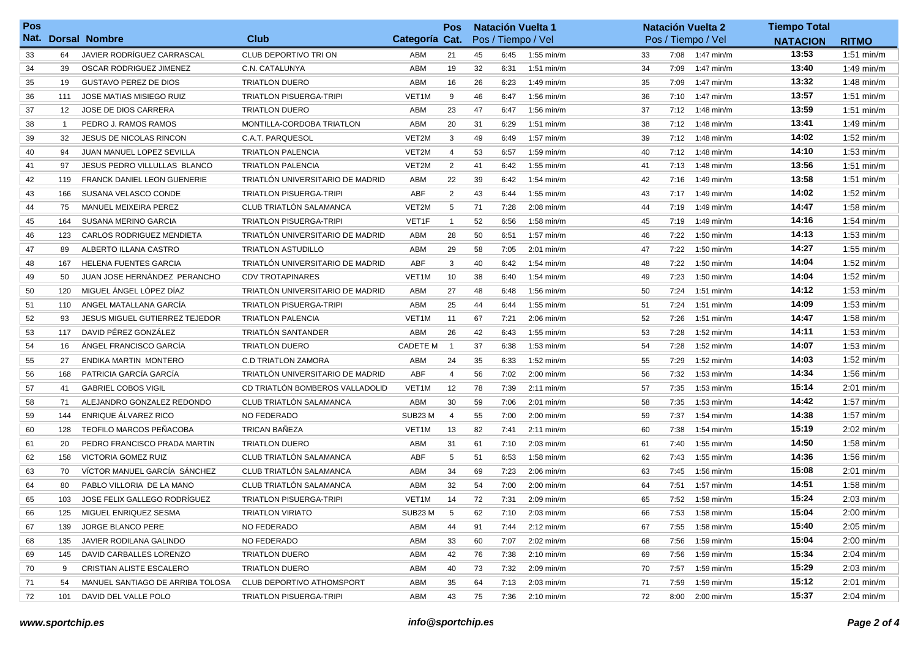| <b>Pos</b> |                |                                       |                                  |                    | <b>Pos</b>     | <b>Natación Vuelta 1</b> |      |                      |    | <b>Natación Vuelta 2</b> | <b>Tiempo Total</b> |                 |                      |
|------------|----------------|---------------------------------------|----------------------------------|--------------------|----------------|--------------------------|------|----------------------|----|--------------------------|---------------------|-----------------|----------------------|
|            |                | Nat. Dorsal Nombre                    | Club                             | Categoría Cat.     |                |                          |      | Pos / Tiempo / Vel   |    |                          | Pos / Tiempo / Vel  | <b>NATACION</b> | <b>RITMO</b>         |
| 33         | 64             | JAVIER RODRÍGUEZ CARRASCAL            | CLUB DEPORTIVO TRI ON            | ABM                | 21             | 45                       | 6:45 | $1:55$ min/m         | 33 |                          | 7:08 1:47 min/m     | 13:53           | $1:51$ min/m         |
| 34         | 39             | OSCAR RODRIGUEZ JIMENEZ               | C.N. CATALUNYA                   | ABM                | 19             | 32                       | 6:31 | $1:51$ min/m         | 34 | 7:09                     | $1:47$ min/m        | 13:40           | $1:49$ min/m         |
| 35         | 19             | <b>GUSTAVO PEREZ DE DIOS</b>          | <b>TRIATLON DUERO</b>            | ABM                | 16             | 26                       | 6:23 | $1:49$ min/m         | 35 | 7:09                     | $1:47$ min/m        | 13:32           | $1:48$ min/m         |
| 36         | 111            | <b>JOSE MATIAS MISIEGO RUIZ</b>       | <b>TRIATLON PISUERGA-TRIPI</b>   | VET <sub>1</sub> M | 9              | 46                       | 6:47 | $1:56$ min/m         | 36 | 7:10                     | 1:47 min/m          | 13:57           | $1:51$ min/m         |
| 37         | 12             | JOSE DE DIOS CARRERA                  | <b>TRIATLON DUERO</b>            | ABM                | 23             | 47                       | 6:47 | $1:56$ min/m         | 37 | 7:12                     | 1:48 min/m          | 13:59           | $1:51$ min/m         |
| 38         | $\overline{1}$ | PEDRO J. RAMOS RAMOS                  | MONTILLA-CORDOBA TRIATLON        | ABM                | 20             | 31                       | 6:29 | $1:51$ min/m         | 38 | 7:12                     | $1:48$ min/m        | 13:41           | $1:49$ min/m         |
| 39         | 32             | <b>JESUS DE NICOLAS RINCON</b>        | C.A.T. PARQUESOL                 | VET2M              | 3              | 49                       | 6:49 | 1:57 min/m           | 39 | 7:12                     | 1:48 $min/m$        | 14:02           | $1:52$ min/m         |
| 40         | 94             | JUAN MANUEL LOPEZ SEVILLA             | <b>TRIATLON PALENCIA</b>         | VET2M              | $\overline{4}$ | 53                       | 6:57 | $1:59$ min/m         | 40 | 7:12                     | 1:48 $min/m$        | 14:10           | $1:53$ min/m         |
| 41         | 97             | <b>JESUS PEDRO VILLULLAS BLANCO</b>   | <b>TRIATLON PALENCIA</b>         | VET2M              | 2              | 41                       | 6:42 | $1:55$ min/m         | 41 | 7:13                     | $1:48$ min/m        | 13:56           | $1:51$ min/m         |
| 42         | 119            | <b>FRANCK DANIEL LEON GUENERIE</b>    | TRIATLON UNIVERSITARIO DE MADRID | ABM                | 22             | 39                       | 6:42 | $1:54$ min/m         | 42 | 7:16                     | 1:49 min/m          | 13:58           | $1:51$ min/m         |
| 43         | 166            | SUSANA VELASCO CONDE                  | <b>TRIATLON PISUERGA-TRIPI</b>   | ABF                | $\overline{2}$ | 43                       | 6:44 | 1:55 min/m           | 43 | 7:17                     | $1:49$ min/m        | 14:02           | $1:52$ min/m         |
| 44         | 75             | MANUEL MEIXEIRA PEREZ                 | CLUB TRIATLÓN SALAMANCA          | VET2M              | 5              | 71                       | 7:28 | $2:08 \text{ min/m}$ | 44 | 7:19                     | 1:49 min/m          | 14:47           | $1:58$ min/m         |
| 45         | 164            | SUSANA MERINO GARCIA                  | <b>TRIATLON PISUERGA-TRIPI</b>   | VET1F              | $\overline{1}$ | 52                       | 6:56 | $1:58$ min/m         | 45 | 7:19                     | $1:49$ min/m        | 14:16           | $1:54$ min/m         |
| 46         | 123            | <b>CARLOS RODRIGUEZ MENDIETA</b>      | TRIATLÓN UNIVERSITARIO DE MADRID | ABM                | 28             | 50                       | 6:51 | $1:57$ min/m         | 46 | 7:22                     | $1:50$ min/m        | 14:13           | $1:53$ min/m         |
| 47         | 89             | ALBERTO ILLANA CASTRO                 | <b>TRIATLON ASTUDILLO</b>        | ABM                | 29             | 58                       | 7:05 | $2:01$ min/m         | 47 | 7:22                     | $1:50$ min/m        | 14:27           | $1:55$ min/m         |
| 48         | 167            | <b>HELENA FUENTES GARCIA</b>          | TRIATLÓN UNIVERSITARIO DE MADRID | ABF                | 3              | 40                       | 6:42 | $1:54 \text{ min/m}$ | 48 | 7:22                     | $1:50$ min/m        | 14:04           | $1:52$ min/m         |
| 49         | 50             | JUAN JOSE HERNÁNDEZ PERANCHO          | <b>CDV TROTAPINARES</b>          | VET1M              | 10             | 38                       | 6:40 | $1:54$ min/m         | 49 | 7:23                     | $1:50$ min/m        | 14:04           | $1:52$ min/m         |
| 50         | 120            | MIGUEL ANGEL LÓPEZ DÍAZ               | TRIATLÓN UNIVERSITARIO DE MADRID | ABM                | 27             | 48                       | 6:48 | $1:56$ min/m         | 50 | 7:24                     | $1:51$ min/m        | 14:12           | $1:53$ min/m         |
| 51         | 110            | ANGEL MATALLANA GARCIA                | <b>TRIATLON PISUERGA-TRIPI</b>   | ABM                | 25             | 44                       | 6:44 | $1:55$ min/m         | 51 | 7:24                     | $1:51$ min/m        | 14:09           | $1:53$ min/m         |
| 52         | 93             | <b>JESUS MIGUEL GUTIERREZ TEJEDOR</b> | <b>TRIATLON PALENCIA</b>         | VET <sub>1</sub> M | 11             | 67                       | 7:21 | $2:06$ min/m         | 52 | 7:26                     | $1:51$ min/m        | 14:47           | $1:58 \text{ min/m}$ |
| 53         | 117            | DAVID PÉREZ GONZÁLEZ                  | TRIATLÓN SANTANDER               | ABM                | 26             | 42                       | 6:43 | $1:55$ min/m         | 53 | 7:28                     | 1:52 min/m          | 14:11           | $1:53$ min/m         |
| 54         | 16             | ANGEL FRANCISCO GARCÍA                | <b>TRIATLON DUERO</b>            | <b>CADETE M</b>    | $\overline{1}$ | 37                       | 6:38 | $1:53$ min/m         | 54 | 7:28                     | 1:52 min/m          | 14:07           | $1:53$ min/m         |
| 55         | 27             | ENDIKA MARTIN MONTERO                 | <b>C.D TRIATLON ZAMORA</b>       | ABM                | 24             | 35                       | 6:33 | $1:52 \text{ min/m}$ | 55 | 7:29                     | $1:52$ min/m        | 14:03           | $1:52$ min/m         |
| 56         | 168            | PATRICIA GARCÍA GARCÍA                | TRIATLÓN UNIVERSITARIO DE MADRID | ABF                | $\overline{4}$ | 56                       | 7:02 | $2:00$ min/m         | 56 | 7:32                     | $1:53$ min/m        | 14:34           | $1:56$ min/m         |
| 57         | 41             | <b>GABRIEL COBOS VIGIL</b>            | CD TRIATLÓN BOMBEROS VALLADOLID  | VET <sub>1</sub> M | 12             | 78                       | 7:39 | $2:11$ min/m         | 57 | 7:35                     | $1:53$ min/m        | 15:14           | $2:01$ min/m         |
| 58         | 71             | ALEJANDRO GONZALEZ REDONDO            | CLUB TRIATLÓN SALAMANCA          | ABM                | 30             | 59                       | 7:06 | $2:01$ min/m         | 58 | 7:35                     | $1:53$ min/m        | 14:42           | $1:57$ min/m         |
| 59         | 144            | ENRIQUE ÁLVAREZ RICO                  | NO FEDERADO                      | SUB23 M            | $\overline{4}$ | 55                       | 7:00 | $2:00$ min/m         | 59 | 7:37                     | $1:54$ min/m        | 14:38           | $1:57$ min/m         |
| 60         | 128            | <b>TEOFILO MARCOS PEÑACOBA</b>        | <b>TRICAN BAÑEZA</b>             | VET <sub>1</sub> M | 13             | 82                       | 7:41 | $2:11$ min/m         | 60 | 7:38                     | 1:54 min/m          | 15:19           | $2:02$ min/m         |
| 61         | 20             | PEDRO FRANCISCO PRADA MARTIN          | <b>TRIATLON DUERO</b>            | ABM                | 31             | 61                       | 7:10 | $2:03$ min/m         | 61 | 7:40                     | $1:55$ min/m        | 14:50           | $1:58$ min/m         |
| 62         | 158            | <b>VICTORIA GOMEZ RUIZ</b>            | CLUB TRIATLÓN SALAMANCA          | ABF                | 5              | 51                       | 6:53 | $1:58$ min/m         | 62 | 7:43                     | $1:55$ min/m        | 14:36           | $1:56$ min/m         |
| 63         | 70             | VICTOR MANUEL GARCIA SANCHEZ          | CLUB TRIATLÓN SALAMANCA          | ABM                | 34             | 69                       | 7:23 | $2:06$ min/m         | 63 | 7:45                     | $1:56$ min/m        | 15:08           | $2:01$ min/m         |
| 64         | 80             | PABLO VILLORIA DE LA MANO             | CLUB TRIATLÓN SALAMANCA          | ABM                | 32             | 54                       | 7:00 | $2:00$ min/m         | 64 | 7:51                     | $1:57$ min/m        | 14:51           | $1:58$ min/m         |
| 65         | 103            | JOSE FELIX GALLEGO RODRÍGUEZ          | <b>TRIATLON PISUERGA-TRIPI</b>   | VET1M              | 14             | 72                       | 7:31 | $2:09$ min/m         | 65 | 7:52                     | $1:58$ min/m        | 15:24           | $2:03$ min/m         |
| 66         | 125            | MIGUEL ENRIQUEZ SESMA                 | <b>TRIATLON VIRIATO</b>          | SUB23 M            | 5              | 62                       | 7:10 | $2:03 \text{ min/m}$ | 66 |                          | 7:53 1:58 min/m     | 15:04           | $2:00$ min/m         |
| 67         | 139            | JORGE BLANCO PERE                     | <b>NO FEDERADO</b>               | ABM                | 44             | 91                       | 7:44 | $2:12 \text{ min/m}$ | 67 | 7:55                     | $1:58$ min/m        | 15:40           | $2:05$ min/m         |
| 68         | 135            | JAVIER RODILANA GALINDO               | NO FEDERADO                      | ABM                | 33             | 60                       | 7:07 | $2:02$ min/m         | 68 | 7:56                     | 1:59 min/m          | 15:04           | $2:00$ min/m         |
| 69         | 145            | DAVID CARBALLES LORENZO               | <b>TRIATLON DUERO</b>            | ABM                | 42             | 76                       | 7:38 | $2:10$ min/m         | 69 | 7:56                     | 1:59 min/m          | 15:34           | 2:04 min/m           |
| 70         | 9              | CRISTIAN ALISTE ESCALERO              | <b>TRIATLON DUERO</b>            | ABM                | 40             | 73                       | 7:32 | $2:09$ min/m         | 70 |                          | 7:57 1:59 min/m     | 15:29           | $2:03 \text{ min/m}$ |
| 71         | 54             | MANUEL SANTIAGO DE ARRIBA TOLOSA      | CLUB DEPORTIVO ATHOMSPORT        | ABM                | 35             | 64                       | 7:13 | $2:03 \text{ min/m}$ | 71 | 7:59                     | 1:59 min/m          | 15:12           | $2:01$ min/m         |
| 72         | 101            | DAVID DEL VALLE POLO                  | <b>TRIATLON PISUERGA-TRIPI</b>   | ABM                | 43             | 75                       | 7:36 | $2:10$ min/m         | 72 |                          | 8:00 2:00 min/m     | 15:37           | $2:04$ min/m         |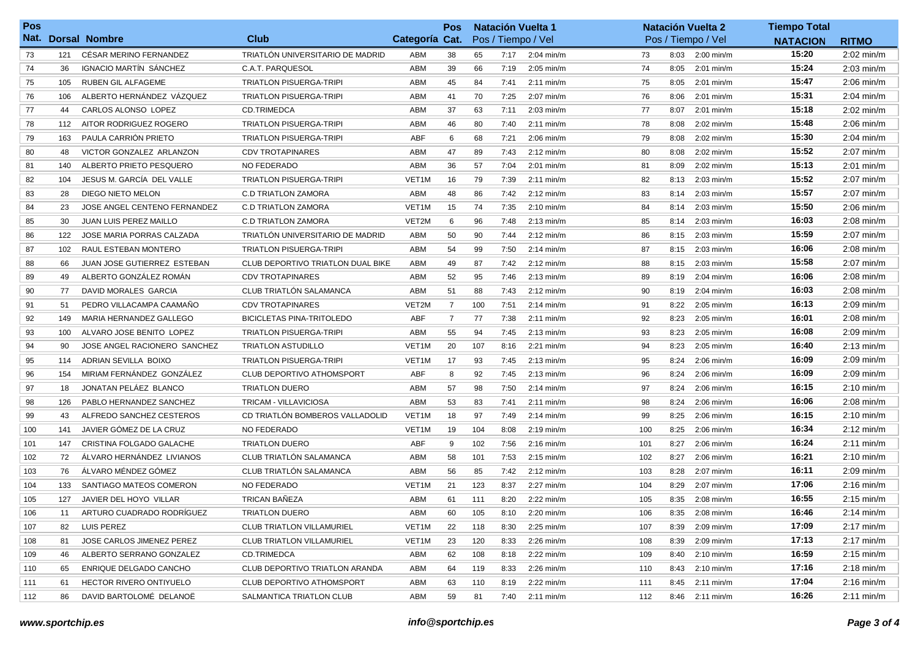| Pos |     |                              |                                          |                    | <b>Pos</b>     | <b>Natación Vuelta 1</b> |      |                      |     | <b>Natación Vuelta 2</b> | <b>Tiempo Total</b> |                 |                      |
|-----|-----|------------------------------|------------------------------------------|--------------------|----------------|--------------------------|------|----------------------|-----|--------------------------|---------------------|-----------------|----------------------|
|     |     | Nat. Dorsal Nombre           | Club                                     | Categoría Cat.     |                |                          |      | Pos / Tiempo / Vel   |     |                          | Pos / Tiempo / Vel  | <b>NATACION</b> | <b>RITMO</b>         |
| 73  | 121 | CÉSAR MERINO FERNANDEZ       | TRIATLÓN UNIVERSITARIO DE MADRID         | ABM                | 38             | 65                       | 7:17 | $2:04$ min/m         | 73  | 8:03                     | $2:00$ min/m        | 15:20           | $2:02$ min/m         |
| 74  | 36  | IGNACIO MARTÍN SÁNCHEZ       | C.A.T. PARQUESOL                         | ABM                | 39             | 66                       | 7:19 | $2:05$ min/m         | 74  | 8:05                     | $2:01$ min/m        | 15:24           | $2:03$ min/m         |
| 75  | 105 | RUBEN GIL ALFAGEME           | <b>TRIATLON PISUERGA-TRIPI</b>           | ABM                | 45             | 84                       | 7:41 | $2:11$ min/m         | 75  | 8:05                     | $2:01$ min/m        | 15:47           | $2:06$ min/m         |
| 76  | 106 | ALBERTO HERNÁNDEZ VÁZQUEZ    | <b>TRIATLON PISUERGA-TRIPI</b>           | ABM                | 41             | 70                       | 7:25 | $2:07$ min/m         | 76  | 8:06                     | $2:01$ min/m        | 15:31           | $2:04$ min/m         |
| 77  | 44  | CARLOS ALONSO LOPEZ          | <b>CD.TRIMEDCA</b>                       | ABM                | 37             | 63                       | 7:11 | $2:03$ min/m         | 77  | 8:07                     | $2:01$ min/m        | 15:18           | 2:02 min/m           |
| 78  | 112 | AITOR RODRIGUEZ ROGERO       | <b>TRIATLON PISUERGA-TRIPI</b>           | ABM                | 46             | 80                       | 7:40 | $2:11$ min/m         | 78  | 8:08                     | 2:02 min/m          | 15:48           | $2:06$ min/m         |
| 79  | 163 | PAULA CARRIÓN PRIETO         | <b>TRIATLON PISUERGA-TRIPI</b>           | ABF                | 6              | 68                       | 7:21 | $2:06$ min/m         | 79  | 8:08                     | $2:02$ min/m        | 15:30           | $2:04$ min/m         |
| 80  | 48  | VICTOR GONZALEZ ARLANZON     | <b>CDV TROTAPINARES</b>                  | ABM                | 47             | 89                       | 7:43 | $2:12 \text{ min/m}$ | 80  | 8:08                     | 2:02 min/m          | 15:52           | $2:07$ min/m         |
| 81  | 140 | ALBERTO PRIETO PESQUERO      | NO FEDERADO                              | ABM                | 36             | 57                       | 7:04 | $2:01$ min/m         | 81  | 8:09                     | 2:02 min/m          | 15:13           | 2:01 min/m           |
| 82  | 104 | JESUS M. GARCÍA DEL VALLE    | <b>TRIATLON PISUERGA-TRIPI</b>           | VET <sub>1</sub> M | 16             | 79                       | 7:39 | $2:11$ min/m         | 82  | 8:13                     | $2:03$ min/m        | 15:52           | $2:07$ min/m         |
| 83  | 28  | DIEGO NIETO MELON            | <b>C.D TRIATLON ZAMORA</b>               | ABM                | 48             | 86                       | 7:42 | $2:12$ min/m         | 83  | 8:14                     | $2:03$ min/m        | 15:57           | $2:07$ min/m         |
| 84  | 23  | JOSE ANGEL CENTENO FERNANDEZ | <b>C.D TRIATLON ZAMORA</b>               | VET <sub>1</sub> M | 15             | 74                       | 7:35 | $2:10$ min/m         | 84  | 8:14                     | $2:03$ min/m        | 15:50           | $2:06$ min/m         |
| 85  | 30  | JUAN LUIS PEREZ MAILLO       | <b>C.D TRIATLON ZAMORA</b>               | VET2M              | 6              | 96                       | 7:48 | $2:13$ min/m         | 85  | 8:14                     | $2:03$ min/m        | 16:03           | $2:08$ min/m         |
| 86  | 122 | JOSE MARIA PORRAS CALZADA    | TRIATLÓN UNIVERSITARIO DE MADRID         | ABM                | 50             | 90                       | 7:44 | $2:12$ min/m         | 86  | 8:15                     | $2:03$ min/m        | 15:59           | $2:07$ min/m         |
| 87  | 102 | RAUL ESTEBAN MONTERO         | <b>TRIATLON PISUERGA-TRIPI</b>           | ABM                | 54             | 99                       | 7:50 | $2:14$ min/m         | 87  | 8:15                     | $2:03$ min/m        | 16:06           | $2:08$ min/m         |
| 88  | 66  | JUAN JOSE GUTIERREZ ESTEBAN  | <b>CLUB DEPORTIVO TRIATLON DUAL BIKE</b> | ABM                | 49             | 87                       | 7:42 | $2:12$ min/m         | 88  | 8:15                     | $2:03$ min/m        | 15:58           | $2:07$ min/m         |
| 89  | 49  | ALBERTO GONZÁLEZ ROMÁN       | <b>CDV TROTAPINARES</b>                  | ABM                | 52             | 95                       | 7:46 | $2:13$ min/m         | 89  | 8:19                     | $2:04$ min/m        | 16:06           | $2:08$ min/m         |
| 90  | 77  | DAVID MORALES GARCIA         | CLUB TRIATLÓN SALAMANCA                  | ABM                | 51             | 88                       | 7:43 | $2:12$ min/m         | 90  | 8:19                     | $2:04$ min/m        | 16:03           | $2:08$ min/m         |
| 91  | 51  | PEDRO VILLACAMPA CAAMAÑO     | <b>CDV TROTAPINARES</b>                  | VET2M              | $\overline{7}$ | 100                      | 7:51 | $2:14$ min/m         | 91  | 8:22                     | $2:05$ min/m        | 16:13           | $2:09$ min/m         |
| 92  | 149 | MARIA HERNANDEZ GALLEGO      | <b>BICICLETAS PINA-TRITOLEDO</b>         | ABF                | $\overline{7}$ | 77                       | 7:38 | $2:11$ min/m         | 92  | 8:23                     | $2:05$ min/m        | 16:01           | $2:08$ min/m         |
| 93  | 100 | ALVARO JOSE BENITO LOPEZ     | <b>TRIATLON PISUERGA-TRIPI</b>           | ABM                | 55             | 94                       | 7:45 | $2:13$ min/m         | 93  | 8:23                     | 2:05 min/m          | 16:08           | $2:09$ min/m         |
| 94  | 90  | JOSE ANGEL RACIONERO SANCHEZ | <b>TRIATLON ASTUDILLO</b>                | VET <sub>1</sub> M | 20             | 107                      | 8:16 | $2:21$ min/m         | 94  | 8:23                     | 2:05 min/m          | 16:40           | $2:13 \text{ min/m}$ |
| 95  | 114 | ADRIAN SEVILLA BOIXO         | <b>TRIATLON PISUERGA-TRIPI</b>           | VET <sub>1</sub> M | 17             | 93                       | 7:45 | 2:13 min/m           | 95  | 8:24                     | $2:06$ min/m        | 16:09           | 2:09 min/m           |
| 96  | 154 | MIRIAM FERNÁNDEZ GONZÁLEZ    | CLUB DEPORTIVO ATHOMSPORT                | ABF                | 8              | 92                       | 7:45 | $2:13$ min/m         | 96  | 8:24                     | $2:06$ min/m        | 16:09           | $2:09$ min/m         |
| 97  | 18  | JONATAN PELÁEZ BLANCO        | <b>TRIATLON DUERO</b>                    | ABM                | 57             | 98                       | 7:50 | $2:14$ min/m         | 97  | 8:24                     | $2:06$ min/m        | 16:15           | $2:10$ min/m         |
| 98  | 126 | PABLO HERNANDEZ SANCHEZ      | TRICAM - VILLAVICIOSA                    | ABM                | 53             | 83                       | 7:41 | $2:11$ min/m         | 98  | 8:24                     | $2:06$ min/m        | 16:06           | $2:08$ min/m         |
| 99  | 43  | ALFREDO SANCHEZ CESTEROS     | CD TRIATLÓN BOMBEROS VALLADOLID          | VET1M              | 18             | 97                       | 7:49 | $2:14$ min/m         | 99  | 8:25                     | $2:06$ min/m        | 16:15           | $2:10$ min/m         |
| 100 | 141 | JAVIER GÓMEZ DE LA CRUZ      | NO FEDERADO                              | VET <sub>1</sub> M | 19             | 104                      | 8:08 | $2:19$ min/m         | 100 | 8:25                     | $2:06$ min/m        | 16:34           | $2:12$ min/m         |
| 101 | 147 | CRISTINA FOLGADO GALACHE     | <b>TRIATLON DUERO</b>                    | ABF                | 9              | 102                      | 7:56 | $2:16$ min/m         | 101 | 8:27                     | $2:06$ min/m        | 16:24           | $2:11$ min/m         |
| 102 | 72  | ÁLVARO HERNÁNDEZ LIVIANOS    | CLUB TRIATLÓN SALAMANCA                  | ABM                | 58             | 101                      | 7:53 | $2:15$ min/m         | 102 | 8:27                     | $2:06$ min/m        | 16:21           | $2:10$ min/m         |
| 103 | 76  | ÁLVARO MÉNDEZ GÓMEZ          | CLUB TRIATLÓN SALAMANCA                  | ABM                | 56             | 85                       | 7:42 | $2:12 \text{ min/m}$ | 103 | 8:28                     | 2:07 min/m          | 16:11           | $2:09$ min/m         |
| 104 | 133 | SANTIAGO MATEOS COMERON      | NO FEDERADO                              | VET <sub>1</sub> M | 21             | 123                      | 8:37 | $2:27$ min/m         | 104 | 8:29                     | 2:07 min/m          | 17:06           | $2:16$ min/m         |
| 105 | 127 | JAVIER DEL HOYO VILLAR       | TRICAN BAÑEZA                            | ABM                | 61             | 111                      | 8:20 | $2:22$ min/m         | 105 | 8:35                     | $2:08$ min/m        | 16:55           | $2:15$ min/m         |
| 106 | 11  | ARTURO CUADRADO RODRIGUEZ    | <b>TRIATLON DUERO</b>                    | ABM                | 60             | 105                      | 8:10 | $2:20$ min/m         | 106 | 8:35                     | 2:08 min/m          | 16:46           | $2:14$ min/m         |
| 107 | 82  | LUIS PEREZ                   | <b>CLUB TRIATLON VILLAMURIEL</b>         | VET1M              | 22             | 118                      | 8:30 | $2:25 \text{ min/m}$ | 107 | 8:39                     | $2:09$ min/m        | 17:09           | $2:17$ min/m         |
| 108 | 81  | JOSE CARLOS JIMENEZ PEREZ    | <b>CLUB TRIATLON VILLAMURIEL</b>         | VET1M              | 23             | 120                      | 8:33 | $2:26 \text{ min/m}$ | 108 | 8:39                     | 2:09 min/m          | 17:13           | $2:17$ min/m         |
| 109 | 46  | ALBERTO SERRANO GONZALEZ     | <b>CD.TRIMEDCA</b>                       | ABM                | 62             | 108                      | 8:18 | $2:22 \text{ min/m}$ | 109 | 8:40                     | $2:10$ min/m        | 16:59           | $2:15 \text{ min/m}$ |
| 110 | 65  | ENRIQUE DELGADO CANCHO       | CLUB DEPORTIVO TRIATLON ARANDA           | ABM                | 64             | 119                      | 8:33 | $2:26$ min/m         | 110 |                          | 8:43 2:10 min/m     | 17:16           | 2:18 min/m           |
| 111 | -61 | HECTOR RIVERO ONTIYUELO      | CLUB DEPORTIVO ATHOMSPORT                | ABM                | 63             | 110                      | 8:19 | $2:22 \text{ min/m}$ | 111 |                          | 8:45 2:11 min/m     | 17:04           | 2:16 min/m           |
| 112 | 86  | DAVID BARTOLOMÉ DELANOË      | SALMANTICA TRIATLON CLUB                 | ABM                | 59             | 81                       | 7:40 | $2:11 \text{ min/m}$ | 112 |                          | 8:46 2:11 min/m     | 16:26           | $2:11$ min/m         |